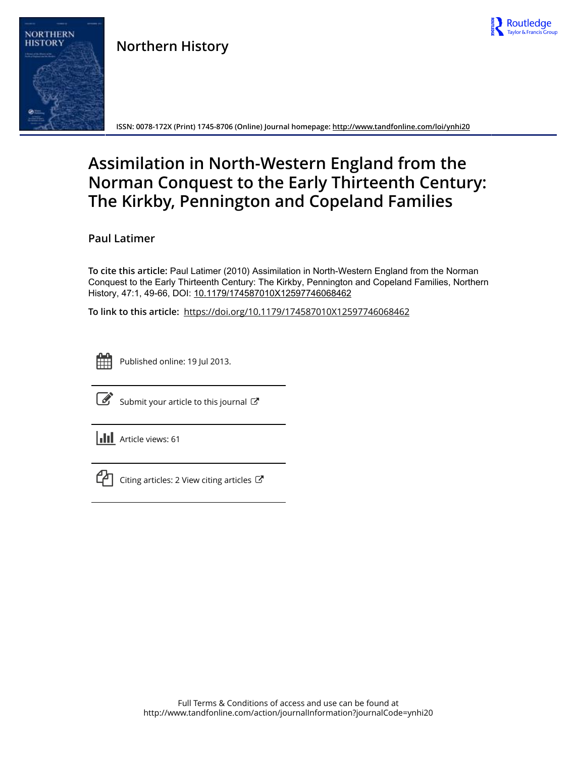

**Northern History**



**ISSN: 0078-172X (Print) 1745-8706 (Online) Journal homepage: <http://www.tandfonline.com/loi/ynhi20>**

## **Assimilation in North-Western England from the Norman Conquest to the Early Thirteenth Century: The Kirkby, Pennington and Copeland Families**

**Paul Latimer**

**To cite this article:** Paul Latimer (2010) Assimilation in North-Western England from the Norman Conquest to the Early Thirteenth Century: The Kirkby, Pennington and Copeland Families, Northern History, 47:1, 49-66, DOI: [10.1179/174587010X12597746068462](http://www.tandfonline.com/action/showCitFormats?doi=10.1179/174587010X12597746068462)

**To link to this article:** <https://doi.org/10.1179/174587010X12597746068462>



Published online: 19 Jul 2013.



 $\overrightarrow{S}$  [Submit your article to this journal](http://www.tandfonline.com/action/authorSubmission?journalCode=ynhi20&show=instructions)  $\overrightarrow{S}$ 

**III** Article views: 61



 $\mathbb{C}$  [Citing articles: 2 View citing articles](http://www.tandfonline.com/doi/citedby/10.1179/174587010X12597746068462#tabModule)  $\mathbb{C}$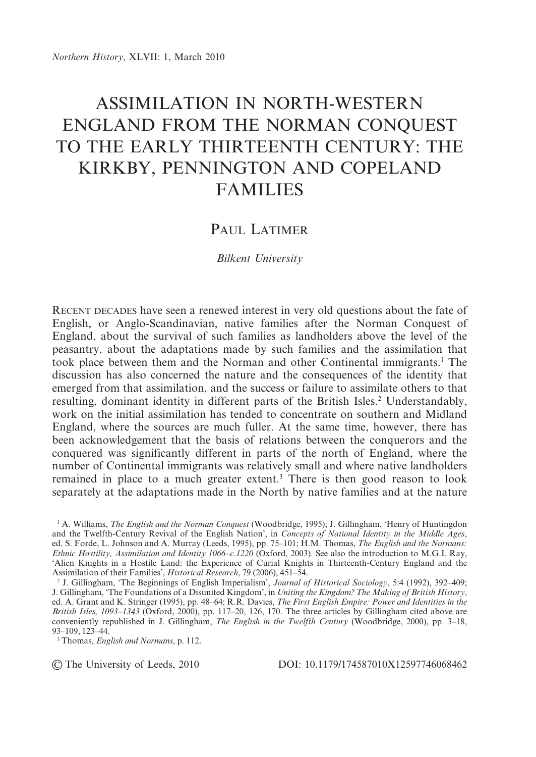## ASSIMILATION IN NORTH-WESTERN ENGLAND FROM THE NORMAN CONQUEST TO THE EARLY THIRTEENTH CENTURY: THE KIRKBY, PENNINGTON AND COPELAND **FAMILIES**

## PAUL LATIMER

*Bilkent University*

RECENT DECADES have seen a renewed interest in very old questions about the fate of English, or Anglo-Scandinavian, native families after the Norman Conquest of England, about the survival of such families as landholders above the level of the peasantry, about the adaptations made by such families and the assimilation that took place between them and the Norman and other Continental immigrants.<sup>1</sup> The discussion has also concerned the nature and the consequences of the identity that emerged from that assimilation, and the success or failure to assimilate others to that resulting, dominant identity in different parts of the British Isles.<sup>2</sup> Understandably, work on the initial assimilation has tended to concentrate on southern and Midland England, where the sources are much fuller. At the same time, however, there has been acknowledgement that the basis of relations between the conquerors and the conquered was significantly different in parts of the north of England, where the number of Continental immigrants was relatively small and where native landholders remained in place to a much greater extent.<sup>3</sup> There is then good reason to look separately at the adaptations made in the North by native families and at the nature

2 J. Gillingham, 'The Beginnings of English Imperialism', *Journal of Historical Sociology*, 5:4 (1992), 392–409; J. Gillingham, 'The Foundations of a Disunited Kingdom', in *Uniting the Kingdom? The Making of British History*, ed. A. Grant and K. Stringer (1995), pp. 48–64; R.R. Davies, *The First English Empire: Power and Identities in the British Isles, 1093–1343* (Oxford, 2000), pp. 117–20, 126, 170. The three articles by Gillingham cited above are conveniently republished in J. Gillingham, *The English in the Twelfth Century* (Woodbridge, 2000), pp. 3–18, 93–109, 123–44.

3 Thomas, *English and Normans*, p. 112.

The University of Leeds, 2010 DOI: 10.1179/174587010X12597746068462

<sup>&</sup>lt;sup>1</sup> A. Williams, *The English and the Norman Conquest* (Woodbridge, 1995); J. Gillingham, 'Henry of Huntingdon and the Twelfth-Century Revival of the English Nation', in *Concepts of National Identity in the Middle Ages*, ed. S. Forde, L. Johnson and A. Murray (Leeds, 1995), pp. 75–101; H.M. Thomas, *The English and the Normans: Ethnic Hostility, Assimilation and Identity 1066–c.1220* (Oxford, 2003). See also the introduction to M.G.I. Ray, 'Alien Knights in a Hostile Land: the Experience of Curial Knights in Thirteenth-Century England and the Assimilation of their Families', *Historical Research*, 79 (2006), 451–54.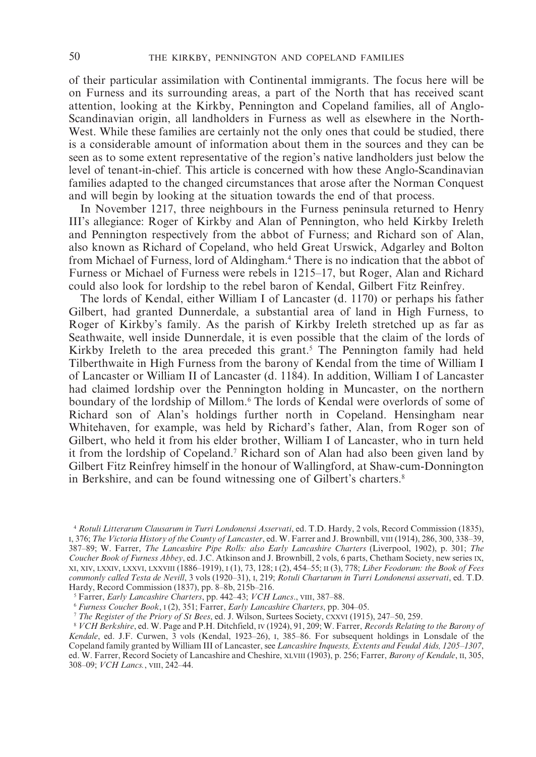of their particular assimilation with Continental immigrants. The focus here will be on Furness and its surrounding areas, a part of the North that has received scant attention, looking at the Kirkby, Pennington and Copeland families, all of Anglo-Scandinavian origin, all landholders in Furness as well as elsewhere in the North-West. While these families are certainly not the only ones that could be studied, there is a considerable amount of information about them in the sources and they can be seen as to some extent representative of the region's native landholders just below the level of tenant-in-chief. This article is concerned with how these Anglo-Scandinavian families adapted to the changed circumstances that arose after the Norman Conquest and will begin by looking at the situation towards the end of that process.

In November 1217, three neighbours in the Furness peninsula returned to Henry III's allegiance: Roger of Kirkby and Alan of Pennington, who held Kirkby Ireleth and Pennington respectively from the abbot of Furness; and Richard son of Alan, also known as Richard of Copeland, who held Great Urswick, Adgarley and Bolton from Michael of Furness, lord of Aldingham.4 There is no indication that the abbot of Furness or Michael of Furness were rebels in 1215–17, but Roger, Alan and Richard could also look for lordship to the rebel baron of Kendal, Gilbert Fitz Reinfrey.

The lords of Kendal, either William I of Lancaster (d. 1170) or perhaps his father Gilbert, had granted Dunnerdale, a substantial area of land in High Furness, to Roger of Kirkby's family. As the parish of Kirkby Ireleth stretched up as far as Seathwaite, well inside Dunnerdale, it is even possible that the claim of the lords of Kirkby Ireleth to the area preceded this grant.<sup>5</sup> The Pennington family had held Tilberthwaite in High Furness from the barony of Kendal from the time of William I of Lancaster or William II of Lancaster (d. 1184). In addition, William I of Lancaster had claimed lordship over the Pennington holding in Muncaster, on the northern boundary of the lordship of Millom.<sup>6</sup> The lords of Kendal were overlords of some of Richard son of Alan's holdings further north in Copeland. Hensingham near Whitehaven, for example, was held by Richard's father, Alan, from Roger son of Gilbert, who held it from his elder brother, William I of Lancaster, who in turn held it from the lordship of Copeland.7 Richard son of Alan had also been given land by Gilbert Fitz Reinfrey himself in the honour of Wallingford, at Shaw-cum-Donnington in Berkshire, and can be found witnessing one of Gilbert's charters.<sup>8</sup>

<sup>4</sup> *Rotuli Litterarum Clausarum in Turri Londonensi Asservati*, ed. T.D. Hardy, 2 vols, Record Commission (1835), I, 376; *The Victoria History of the County of Lancaster*, ed. W. Farrer and J. Brownbill, VIII (1914), 286, 300, 338–39, 387–89; W. Farrer, *The Lancashire Pipe Rolls: also Early Lancashire Charters* (Liverpool, 1902), p. 301; *The Coucher Book of Furness Abbey*, ed. J.C. Atkinson and J. Brownbill, 2 vols, 6 parts, Chetham Society, new series IX, XI, XIV, LXXIV, LXXVI, LXXVIII (1886–1919), I (1), 73, 128; I (2), 454–55; II (3), 778; *Liber Feodorum: the Book of Fees commonly called Testa de Nevill*, 3 vols (1920–31), I, 219; *Rotuli Chartarum in Turri Londonensi asservati*, ed. T.D. Hardy, Record Commission (1837), pp. 8–8b, 215b–216.

<sup>5</sup> Farrer, *Early Lancashire Charters*, pp. 442–43; *VCH Lancs*., VIII, 387–88.

<sup>6</sup> *Furness Coucher Book*, I (2), 351; Farrer, *Early Lancashire Charters*, pp. 304–05.

<sup>7</sup> *The Register of the Priory of St Bees*, ed. J. Wilson, Surtees Society, CXXVI (1915), 247–50, 259.

<sup>8</sup> *VCH Berkshire*, ed. W. Page and P.H. Ditchfield, IV (1924), 91, 209; W. Farrer, *Records Relating to the Barony of Kendale*, ed. J.F. Curwen, 3 vols (Kendal, 1923–26), I, 385–86. For subsequent holdings in Lonsdale of the Copeland family granted by William III of Lancaster, see *Lancashire Inquests, Extents and Feudal Aids, 1205–1307*, ed. W. Farrer, Record Society of Lancashire and Cheshire, XLVIII (1903), p. 256; Farrer, *Barony of Kendale*, II, 305, 308–09; *VCH Lancs.*, VIII, 242–44.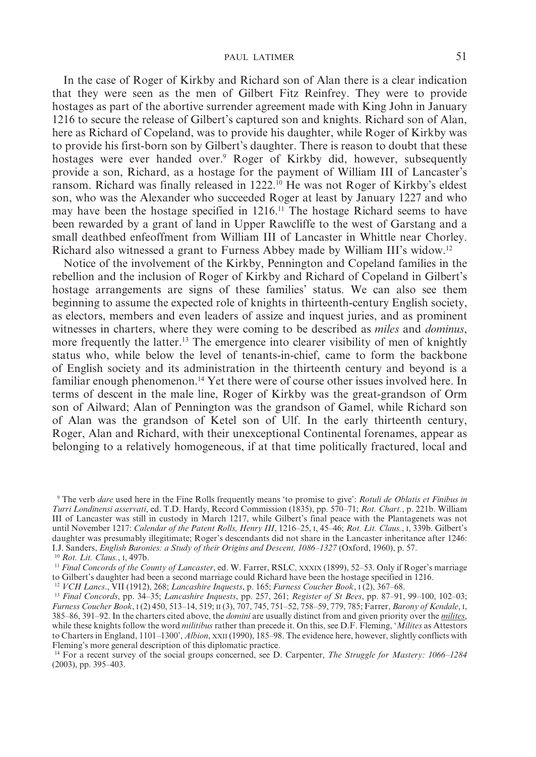In the case of Roger of Kirkby and Richard son of Alan there is a clear indication that they were seen as the men of Gilbert Fitz Reinfrey. They were to provide hostages as part of the abortive surrender agreement made with King John in January 1216 to secure the release of Gilbert's captured son and knights. Richard son of Alan, here as Richard of Copeland, was to provide his daughter, while Roger of Kirkby was to provide his first-born son by Gilbert's daughter. There is reason to doubt that these hostages were ever handed over.9 Roger of Kirkby did, however, subsequently provide a son, Richard, as a hostage for the payment of William III of Lancaster's ransom. Richard was finally released in 1222.10 He was not Roger of Kirkby's eldest son, who was the Alexander who succeeded Roger at least by January 1227 and who may have been the hostage specified in 1216.11 The hostage Richard seems to have been rewarded by a grant of land in Upper Rawcliffe to the west of Garstang and a small deathbed enfeoffment from William III of Lancaster in Whittle near Chorley. Richard also witnessed a grant to Furness Abbey made by William III's widow.12

Notice of the involvement of the Kirkby, Pennington and Copeland families in the rebellion and the inclusion of Roger of Kirkby and Richard of Copeland in Gilbert's hostage arrangements are signs of these families' status. We can also see them beginning to assume the expected role of knights in thirteenth-century English society, as electors, members and even leaders of assize and inquest juries, and as prominent witnesses in charters, where they were coming to be described as *miles* and *dominus*, more frequently the latter.<sup>13</sup> The emergence into clearer visibility of men of knightly status who, while below the level of tenants-in-chief, came to form the backbone of English society and its administration in the thirteenth century and beyond is a familiar enough phenomenon.14 Yet there were of course other issues involved here. In terms of descent in the male line, Roger of Kirkby was the great-grandson of Orm son of Ailward; Alan of Pennington was the grandson of Gamel, while Richard son of Alan was the grandson of Ketel son of Ulf. In the early thirteenth century, Roger, Alan and Richard, with their unexceptional Continental forenames, appear as belonging to a relatively homogeneous, if at that time politically fractured, local and

<sup>9</sup> The verb *dare* used here in the Fine Rolls frequently means 'to promise to give': *Rotuli de Oblatis et Finibus in Turri Londinensi asservati*, ed. T.D. Hardy, Record Commission (1835), pp. 570–71; *Rot. Chart.*, p. 221b. William III of Lancaster was still in custody in March 1217, while Gilbert's final peace with the Plantagenets was not until November 1217: *Calendar of the Patent Rolls, Henry III*, 1216–25, I, 45–46; *Rot. Lit. Claus.*, I, 339b. Gilbert's daughter was presumably illegitimate; Roger's descendants did not share in the Lancaster inheritance after 1246: I.J. Sanders, *English Baronies: a Study of their Origins and Descent, 1086–1327* (Oxford, 1960), p. 57.

<sup>10</sup> *Rot. Lit. Claus.*, I, 497b.

<sup>&</sup>lt;sup>11</sup> *Final Concords of the County of Lancaster*, ed. W. Farrer, RSLC, XXXIX (1899), 52-53. Only if Roger's marriage to Gilbert's daughter had been a second marriage could Richard have been the hostage specified in 1216.

<sup>12</sup> *VCH Lancs*., VII (1912), 268; *Lancashire Inquests*, p. 165; *Furness Coucher Book*, I (2), 367–68.

<sup>13</sup> *Final Concords*, pp. 34–35; *Lancashire Inquests*, pp. 257, 261; *Register of St Bees*, pp. 87–91, 99–100, 102–03; *Furness Coucher Book*, I (2) 450, 513–14, 519; II (3), 707, 745, 751–52, 758–59, 779, 785; Farrer, *Barony of Kendale*, I, 385–86, 391–92. In the charters cited above, the *domini* are usually distinct from and given priority over the *milites*, while these knights follow the word *militibus* rather than precede it. On this, see D.F. Fleming, '*Milites* as Attestors to Charters in England, 1101–1300', *Albion*, XXII (1990), 185–98. The evidence here, however, slightly conflicts with Fleming's more general description of this diplomatic practice.

<sup>14</sup> For a recent survey of the social groups concerned, see D. Carpenter, *The Struggle for Mastery: 1066–1284* (2003), pp. 395–403.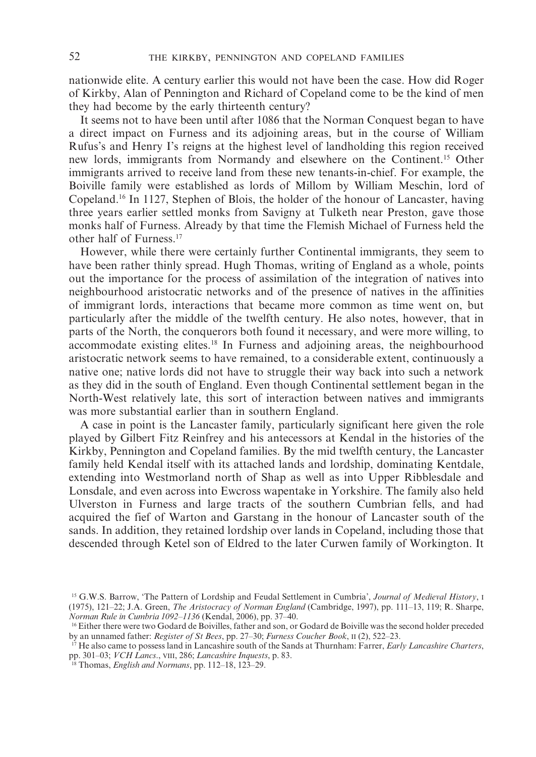nationwide elite. A century earlier this would not have been the case. How did Roger of Kirkby, Alan of Pennington and Richard of Copeland come to be the kind of men they had become by the early thirteenth century?

It seems not to have been until after 1086 that the Norman Conquest began to have a direct impact on Furness and its adjoining areas, but in the course of William Rufus's and Henry I's reigns at the highest level of landholding this region received new lords, immigrants from Normandy and elsewhere on the Continent.15 Other immigrants arrived to receive land from these new tenants-in-chief. For example, the Boiville family were established as lords of Millom by William Meschin, lord of Copeland.16 In 1127, Stephen of Blois, the holder of the honour of Lancaster, having three years earlier settled monks from Savigny at Tulketh near Preston, gave those monks half of Furness. Already by that time the Flemish Michael of Furness held the other half of Furness.17

However, while there were certainly further Continental immigrants, they seem to have been rather thinly spread. Hugh Thomas, writing of England as a whole, points out the importance for the process of assimilation of the integration of natives into neighbourhood aristocratic networks and of the presence of natives in the affinities of immigrant lords, interactions that became more common as time went on, but particularly after the middle of the twelfth century. He also notes, however, that in parts of the North, the conquerors both found it necessary, and were more willing, to accommodate existing elites.18 In Furness and adjoining areas, the neighbourhood aristocratic network seems to have remained, to a considerable extent, continuously a native one; native lords did not have to struggle their way back into such a network as they did in the south of England. Even though Continental settlement began in the North-West relatively late, this sort of interaction between natives and immigrants was more substantial earlier than in southern England.

A case in point is the Lancaster family, particularly significant here given the role played by Gilbert Fitz Reinfrey and his antecessors at Kendal in the histories of the Kirkby, Pennington and Copeland families. By the mid twelfth century, the Lancaster family held Kendal itself with its attached lands and lordship, dominating Kentdale, extending into Westmorland north of Shap as well as into Upper Ribblesdale and Lonsdale, and even across into Ewcross wapentake in Yorkshire. The family also held Ulverston in Furness and large tracts of the southern Cumbrian fells, and had acquired the fief of Warton and Garstang in the honour of Lancaster south of the sands. In addition, they retained lordship over lands in Copeland, including those that descended through Ketel son of Eldred to the later Curwen family of Workington. It

<sup>15</sup> G.W.S. Barrow, 'The Pattern of Lordship and Feudal Settlement in Cumbria', *Journal of Medieval History*, I (1975), 121–22; J.A. Green, *The Aristocracy of Norman England* (Cambridge, 1997), pp. 111–13, 119; R. Sharpe, *Norman Rule in Cumbria 1092–1136* (Kendal, 2006), pp. 37–40.

<sup>16</sup> Either there were two Godard de Boivilles, father and son, or Godard de Boiville was the second holder preceded by an unnamed father: *Register of St Bees*, pp. 27–30; *Furness Coucher Book*, II (2), 522–23.

<sup>17</sup> He also came to possess land in Lancashire south of the Sands at Thurnham: Farrer, *Early Lancashire Charters*, pp. 301–03; *VCH Lancs*., VIII, 286; *Lancashire Inquests*, p. 83.

<sup>18</sup> Thomas, *English and Normans*, pp. 112–18, 123–29.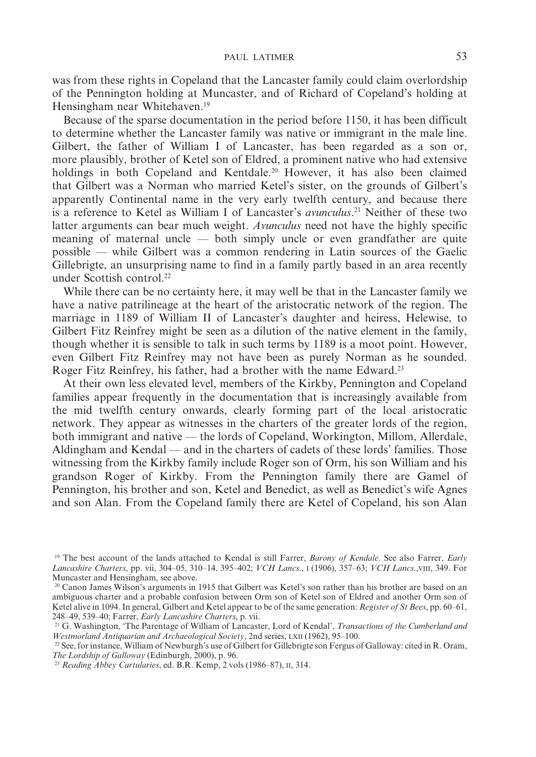was from these rights in Copeland that the Lancaster family could claim overlordship of the Pennington holding at Muncaster, and of Richard of Copeland's holding at Hensingham near Whitehaven.19

Because of the sparse documentation in the period before 1150, it has been difficult to determine whether the Lancaster family was native or immigrant in the male line. Gilbert, the father of William I of Lancaster, has been regarded as a son or, more plausibly, brother of Ketel son of Eldred, a prominent native who had extensive holdings in both Copeland and Kentdale.<sup>20</sup> However, it has also been claimed that Gilbert was a Norman who married Ketel's sister, on the grounds of Gilbert's apparently Continental name in the very early twelfth century, and because there is a reference to Ketel as William I of Lancaster's *avunculus*. 21 Neither of these two latter arguments can bear much weight. *Avunculus* need not have the highly specific meaning of maternal uncle — both simply uncle or even grandfather are quite possible — while Gilbert was a common rendering in Latin sources of the Gaelic Gillebrigte, an unsurprising name to find in a family partly based in an area recently under Scottish control.<sup>22</sup>

While there can be no certainty here, it may well be that in the Lancaster family we have a native patrilineage at the heart of the aristocratic network of the region. The marriage in 1189 of William II of Lancaster's daughter and heiress, Helewise, to Gilbert Fitz Reinfrey might be seen as a dilution of the native element in the family, though whether it is sensible to talk in such terms by 1189 is a moot point. However, even Gilbert Fitz Reinfrey may not have been as purely Norman as he sounded. Roger Fitz Reinfrey, his father, had a brother with the name Edward.<sup>23</sup>

At their own less elevated level, members of the Kirkby, Pennington and Copeland families appear frequently in the documentation that is increasingly available from the mid twelfth century onwards, clearly forming part of the local aristocratic network. They appear as witnesses in the charters of the greater lords of the region, both immigrant and native — the lords of Copeland, Workington, Millom, Allerdale, Aldingham and Kendal — and in the charters of cadets of these lords' families. Those witnessing from the Kirkby family include Roger son of Orm, his son William and his grandson Roger of Kirkby. From the Pennington family there are Gamel of Pennington, his brother and son, Ketel and Benedict, as well as Benedict's wife Agnes and son Alan. From the Copeland family there are Ketel of Copeland, his son Alan

<sup>19</sup> The best account of the lands attached to Kendal is still Farrer, *Barony of Kendale*. See also Farrer, *Early Lancashire Charters*, pp. vii, 304–05, 310–14, 395–402; *VCH Lancs*., I (1906), 357–63; *VCH Lancs*.,VIII, 349. For Muncaster and Hensingham, see above.

<sup>20</sup> Canon James Wilson's arguments in 1915 that Gilbert was Ketel's son rather than his brother are based on an ambiguous charter and a probable confusion between Orm son of Ketel son of Eldred and another Orm son of Ketel alive in 1094. In general, Gilbert and Ketel appear to be of the same generation: *Register of St Bees*, pp. 60–61, 248–49, 539–40; Farrer, *Early Lancashire Charters*, p. vii.

<sup>21</sup> G. Washington, 'The Parentage of William of Lancaster, Lord of Kendal', *Transactions of the Cumberland and Westmorland Antiquarian and Archaeological Society*, 2nd series, LXII (1962), 95–100.

<sup>&</sup>lt;sup>22</sup> See, for instance, William of Newburgh's use of Gilbert for Gillebrigte son Fergus of Galloway: cited in R. Oram, *The Lordship of Galloway* (Edinburgh, 2000), p. 96.

<sup>23</sup> *Reading Abbey Cartularies*, ed. B.R. Kemp, 2 vols (1986–87), II, 314.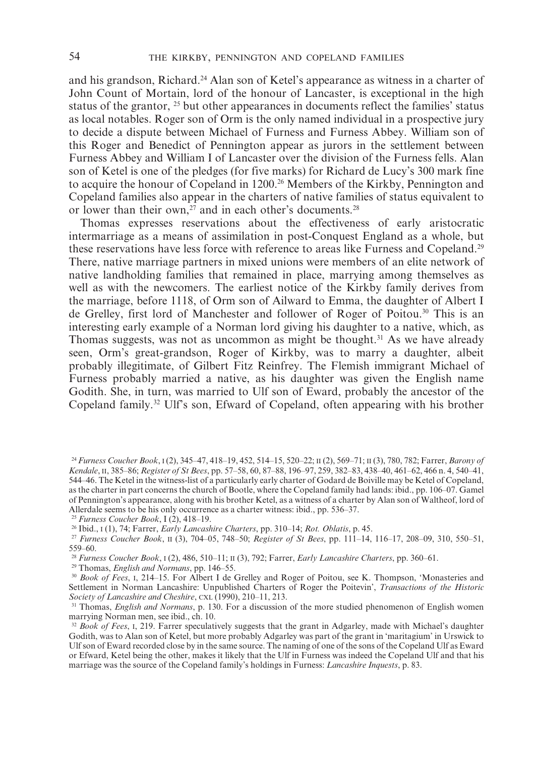and his grandson, Richard.24 Alan son of Ketel's appearance as witness in a charter of John Count of Mortain, lord of the honour of Lancaster, is exceptional in the high status of the grantor, <sup>25</sup> but other appearances in documents reflect the families' status as local notables. Roger son of Orm is the only named individual in a prospective jury to decide a dispute between Michael of Furness and Furness Abbey. William son of this Roger and Benedict of Pennington appear as jurors in the settlement between Furness Abbey and William I of Lancaster over the division of the Furness fells. Alan son of Ketel is one of the pledges (for five marks) for Richard de Lucy's 300 mark fine to acquire the honour of Copeland in 1200.26 Members of the Kirkby, Pennington and Copeland families also appear in the charters of native families of status equivalent to or lower than their own, $27$  and in each other's documents. $28$ 

Thomas expresses reservations about the effectiveness of early aristocratic intermarriage as a means of assimilation in post-Conquest England as a whole, but these reservations have less force with reference to areas like Furness and Copeland.29 There, native marriage partners in mixed unions were members of an elite network of native landholding families that remained in place, marrying among themselves as well as with the newcomers. The earliest notice of the Kirkby family derives from the marriage, before 1118, of Orm son of Ailward to Emma, the daughter of Albert I de Grelley, first lord of Manchester and follower of Roger of Poitou.30 This is an interesting early example of a Norman lord giving his daughter to a native, which, as Thomas suggests, was not as uncommon as might be thought.<sup>31</sup> As we have already seen, Orm's great-grandson, Roger of Kirkby, was to marry a daughter, albeit probably illegitimate, of Gilbert Fitz Reinfrey. The Flemish immigrant Michael of Furness probably married a native, as his daughter was given the English name Godith. She, in turn, was married to Ulf son of Eward, probably the ancestor of the Copeland family.32 Ulf's son, Efward of Copeland, often appearing with his brother

29 Thomas, *English and Normans*, pp. 146–55.

<sup>30</sup> *Book of Fees*, I, 214–15. For Albert I de Grelley and Roger of Poitou, see K. Thompson, 'Monasteries and Settlement in Norman Lancashire: Unpublished Charters of Roger the Poitevin', *Transactions of the Historic Society of Lancashire and Cheshire*, CXL (1990), 210–11, 213.

<sup>24</sup> *Furness Coucher Book*, I (2), 345–47, 418–19, 452, 514–15, 520–22; II (2), 569–71; II (3), 780, 782; Farrer, *Barony of Kendale*, II, 385–86; *Register of St Bees*, pp. 57–58, 60, 87–88, 196–97, 259, 382–83, 438–40, 461–62, 466 n. 4, 540–41, 544–46. The Ketel in the witness-list of a particularly early charter of Godard de Boiville may be Ketel of Copeland, as the charter in part concerns the church of Bootle, where the Copeland family had lands: ibid., pp. 106–07. Gamel of Pennington's appearance, along with his brother Ketel, as a witness of a charter by Alan son of Waltheof, lord of Allerdale seems to be his only occurrence as a charter witness: ibid., pp. 536–37.

<sup>25</sup> *Furness Coucher Book*, I (2), 418–19.

<sup>26</sup> Ibid., I (1), 74; Farrer, *Early Lancashire Charters*, pp. 310–14; *Rot. Oblatis*, p. 45.

<sup>27</sup> *Furness Coucher Book*, II (3), 704–05, 748–50; *Register of St Bees*, pp. 111–14, 116–17, 208–09, 310, 550–51, 559–60.

<sup>28</sup> *Furness Coucher Book*, I (2), 486, 510–11; II (3), 792; Farrer, *Early Lancashire Charters*, pp. 360–61.

<sup>&</sup>lt;sup>31</sup> Thomas, *English and Normans*, p. 130. For a discussion of the more studied phenomenon of English women marrying Norman men, see ibid., ch. 10.

<sup>&</sup>lt;sup>32</sup> *Book of Fees*, I, 219. Farrer speculatively suggests that the grant in Adgarley, made with Michael's daughter Godith, was to Alan son of Ketel, but more probably Adgarley was part of the grant in 'maritagium' in Urswick to Ulf son of Eward recorded close by in the same source. The naming of one of the sons of the Copeland Ulf as Eward or Efward, Ketel being the other, makes it likely that the Ulf in Furness was indeed the Copeland Ulf and that his marriage was the source of the Copeland family's holdings in Furness: *Lancashire Inquests*, p. 83.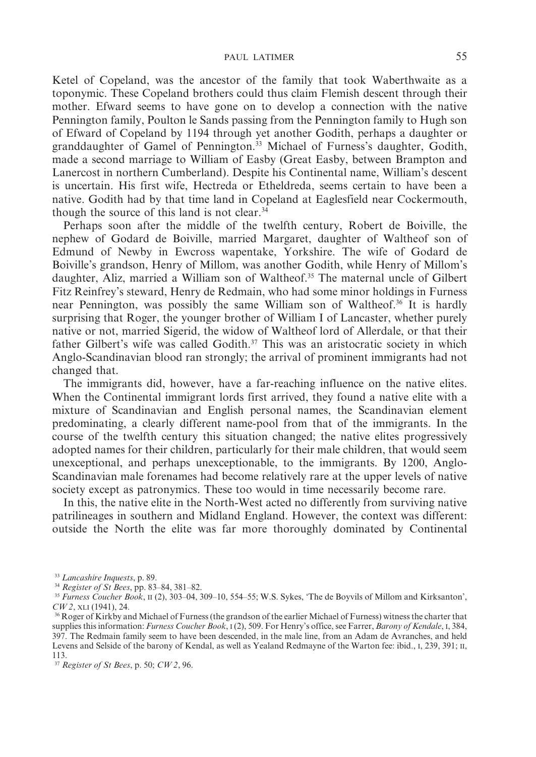Ketel of Copeland, was the ancestor of the family that took Waberthwaite as a toponymic. These Copeland brothers could thus claim Flemish descent through their mother. Efward seems to have gone on to develop a connection with the native Pennington family, Poulton le Sands passing from the Pennington family to Hugh son of Efward of Copeland by 1194 through yet another Godith, perhaps a daughter or granddaughter of Gamel of Pennington.33 Michael of Furness's daughter, Godith, made a second marriage to William of Easby (Great Easby, between Brampton and Lanercost in northern Cumberland). Despite his Continental name, William's descent is uncertain. His first wife, Hectreda or Etheldreda, seems certain to have been a native. Godith had by that time land in Copeland at Eaglesfield near Cockermouth, though the source of this land is not clear.34

Perhaps soon after the middle of the twelfth century, Robert de Boiville, the nephew of Godard de Boiville, married Margaret, daughter of Waltheof son of Edmund of Newby in Ewcross wapentake, Yorkshire. The wife of Godard de Boiville's grandson, Henry of Millom, was another Godith, while Henry of Millom's daughter, Aliz, married a William son of Waltheof.35 The maternal uncle of Gilbert Fitz Reinfrey's steward, Henry de Redmain, who had some minor holdings in Furness near Pennington, was possibly the same William son of Waltheof.36 It is hardly surprising that Roger, the younger brother of William I of Lancaster, whether purely native or not, married Sigerid, the widow of Waltheof lord of Allerdale, or that their father Gilbert's wife was called Godith. $37$  This was an aristocratic society in which Anglo-Scandinavian blood ran strongly; the arrival of prominent immigrants had not changed that.

The immigrants did, however, have a far-reaching influence on the native elites. When the Continental immigrant lords first arrived, they found a native elite with a mixture of Scandinavian and English personal names, the Scandinavian element predominating, a clearly different name-pool from that of the immigrants. In the course of the twelfth century this situation changed; the native elites progressively adopted names for their children, particularly for their male children, that would seem unexceptional, and perhaps unexceptionable, to the immigrants. By 1200, Anglo-Scandinavian male forenames had become relatively rare at the upper levels of native society except as patronymics. These too would in time necessarily become rare.

In this, the native elite in the North-West acted no differently from surviving native patrilineages in southern and Midland England. However, the context was different: outside the North the elite was far more thoroughly dominated by Continental

<sup>33</sup> *Lancashire Inquests*, p. 89.

<sup>34</sup> *Register of St Bees*, pp. 83–84, 381–82.

<sup>35</sup> *Furness Coucher Book*, II (2), 303–04, 309–10, 554–55; W.S. Sykes, 'The de Boyvils of Millom and Kirksanton', *CW 2*, XLI (1941), 24.

<sup>36</sup> Roger of Kirkby and Michael of Furness (the grandson of the earlier Michael of Furness) witness the charter that supplies this information: *Furness Coucher Book*, I (2), 509. For Henry's office, see Farrer, *Barony of Kendale*, I, 384, 397. The Redmain family seem to have been descended, in the male line, from an Adam de Avranches, and held Levens and Selside of the barony of Kendal, as well as Yealand Redmayne of the Warton fee: ibid., I, 239, 391; II, 113.

<sup>37</sup> *Register of St Bees*, p. 50; *CW 2*, 96.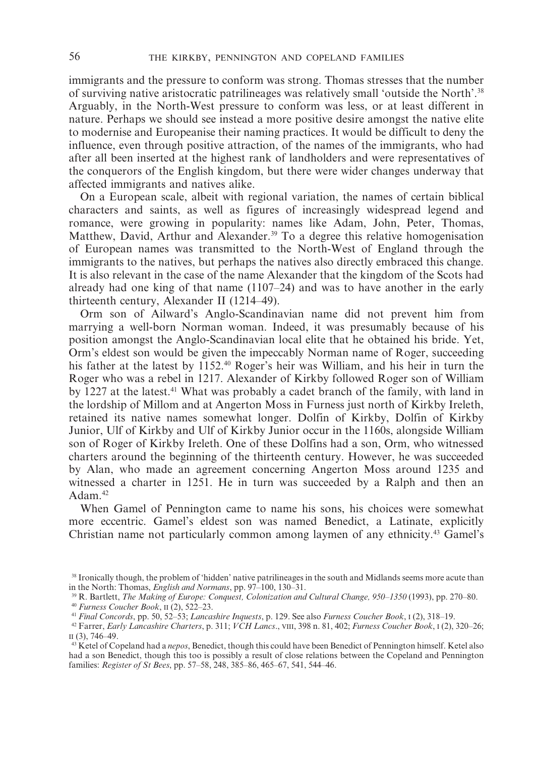immigrants and the pressure to conform was strong. Thomas stresses that the number of surviving native aristocratic patrilineages was relatively small 'outside the North'.38 Arguably, in the North-West pressure to conform was less, or at least different in nature. Perhaps we should see instead a more positive desire amongst the native elite to modernise and Europeanise their naming practices. It would be difficult to deny the influence, even through positive attraction, of the names of the immigrants, who had after all been inserted at the highest rank of landholders and were representatives of the conquerors of the English kingdom, but there were wider changes underway that affected immigrants and natives alike.

On a European scale, albeit with regional variation, the names of certain biblical characters and saints, as well as figures of increasingly widespread legend and romance, were growing in popularity: names like Adam, John, Peter, Thomas, Matthew, David, Arthur and Alexander.<sup>39</sup> To a degree this relative homogenisation of European names was transmitted to the North-West of England through the immigrants to the natives, but perhaps the natives also directly embraced this change. It is also relevant in the case of the name Alexander that the kingdom of the Scots had already had one king of that name (1107–24) and was to have another in the early thirteenth century, Alexander II (1214–49).

Orm son of Ailward's Anglo-Scandinavian name did not prevent him from marrying a well-born Norman woman. Indeed, it was presumably because of his position amongst the Anglo-Scandinavian local elite that he obtained his bride. Yet, Orm's eldest son would be given the impeccably Norman name of Roger, succeeding his father at the latest by 1152.40 Roger's heir was William, and his heir in turn the Roger who was a rebel in 1217. Alexander of Kirkby followed Roger son of William by 1227 at the latest.<sup>41</sup> What was probably a cadet branch of the family, with land in the lordship of Millom and at Angerton Moss in Furness just north of Kirkby Ireleth, retained its native names somewhat longer. Dolfin of Kirkby, Dolfin of Kirkby Junior, Ulf of Kirkby and Ulf of Kirkby Junior occur in the 1160s, alongside William son of Roger of Kirkby Ireleth. One of these Dolfins had a son, Orm, who witnessed charters around the beginning of the thirteenth century. However, he was succeeded by Alan, who made an agreement concerning Angerton Moss around 1235 and witnessed a charter in 1251. He in turn was succeeded by a Ralph and then an Adam.42

When Gamel of Pennington came to name his sons, his choices were somewhat more eccentric. Gamel's eldest son was named Benedict, a Latinate, explicitly Christian name not particularly common among laymen of any ethnicity.43 Gamel's

<sup>38</sup> Ironically though, the problem of 'hidden' native patrilineages in the south and Midlands seems more acute than in the North: Thomas, *English and Normans*, pp. 97–100, 130–31.

<sup>39</sup> R. Bartlett, *The Making of Europe: Conquest, Colonization and Cultural Change, 950–1350* (1993), pp. 270–80.

<sup>40</sup> *Furness Coucher Book*, II (2), 522–23.

<sup>41</sup> *Final Concords*, pp. 50, 52–53; *Lancashire Inquests*, p. 129. See also *Furness Coucher Book*, I (2), 318–19.

<sup>42</sup> Farrer, *Early Lancashire Charters*, p. 311; *VCH Lancs*., VIII, 398 n. 81, 402; *Furness Coucher Book*, I (2), 320–26; II (3), 746–49.

<sup>43</sup> Ketel of Copeland had a *nepos*, Benedict, though this could have been Benedict of Pennington himself. Ketel also had a son Benedict, though this too is possibly a result of close relations between the Copeland and Pennington families: *Register of St Bees*, pp. 57–58, 248, 385–86, 465–67, 541, 544–46.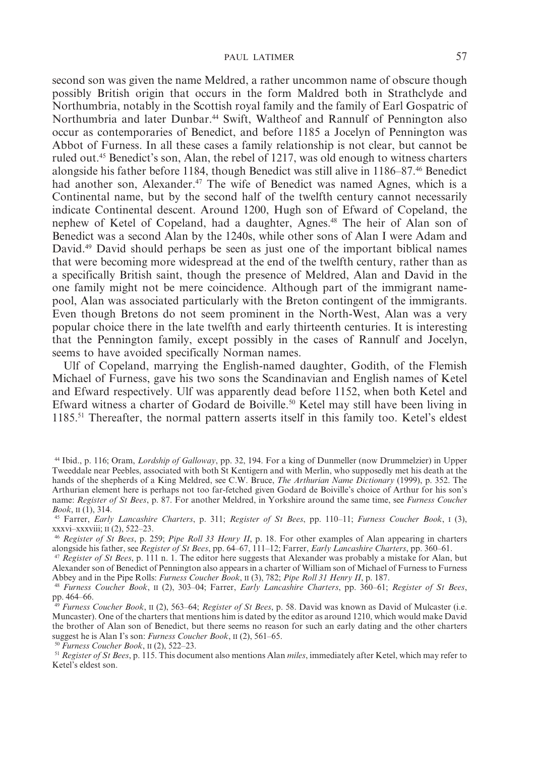## PAUL LATIMER 57

second son was given the name Meldred, a rather uncommon name of obscure though possibly British origin that occurs in the form Maldred both in Strathclyde and Northumbria, notably in the Scottish royal family and the family of Earl Gospatric of Northumbria and later Dunbar.44 Swift, Waltheof and Rannulf of Pennington also occur as contemporaries of Benedict, and before 1185 a Jocelyn of Pennington was Abbot of Furness. In all these cases a family relationship is not clear, but cannot be ruled out.45 Benedict's son, Alan, the rebel of 1217, was old enough to witness charters alongside his father before 1184, though Benedict was still alive in 1186–87.46 Benedict had another son, Alexander.<sup>47</sup> The wife of Benedict was named Agnes, which is a Continental name, but by the second half of the twelfth century cannot necessarily indicate Continental descent. Around 1200, Hugh son of Efward of Copeland, the nephew of Ketel of Copeland, had a daughter, Agnes.48 The heir of Alan son of Benedict was a second Alan by the 1240s, while other sons of Alan I were Adam and David.49 David should perhaps be seen as just one of the important biblical names that were becoming more widespread at the end of the twelfth century, rather than as a specifically British saint, though the presence of Meldred, Alan and David in the one family might not be mere coincidence. Although part of the immigrant namepool, Alan was associated particularly with the Breton contingent of the immigrants. Even though Bretons do not seem prominent in the North-West, Alan was a very popular choice there in the late twelfth and early thirteenth centuries. It is interesting that the Pennington family, except possibly in the cases of Rannulf and Jocelyn, seems to have avoided specifically Norman names.

Ulf of Copeland, marrying the English-named daughter, Godith, of the Flemish Michael of Furness, gave his two sons the Scandinavian and English names of Ketel and Efward respectively. Ulf was apparently dead before 1152, when both Ketel and Efward witness a charter of Godard de Boiville.50 Ketel may still have been living in 1185.51 Thereafter, the normal pattern asserts itself in this family too. Ketel's eldest

<sup>44</sup> Ibid., p. 116; Oram, *Lordship of Galloway*, pp. 32, 194. For a king of Dunmeller (now Drummelzier) in Upper Tweeddale near Peebles, associated with both St Kentigern and with Merlin, who supposedly met his death at the hands of the shepherds of a King Meldred, see C.W. Bruce, *The Arthurian Name Dictionary* (1999), p. 352. The Arthurian element here is perhaps not too far-fetched given Godard de Boiville's choice of Arthur for his son's name: *Register of St Bees*, p. 87. For another Meldred, in Yorkshire around the same time, see *Furness Coucher Book*, II (1), 314.

<sup>45</sup> Farrer, *Early Lancashire Charters*, p. 311; *Register of St Bees*, pp. 110–11; *Furness Coucher Book*, I (3), xxxvi–xxxviii; II (2), 522–23.

<sup>46</sup> *Register of St Bees*, p. 259; *Pipe Roll 33 Henry II*, p. 18. For other examples of Alan appearing in charters alongside his father, see *Register of St Bees*, pp. 64–67, 111–12; Farrer, *Early Lancashire Charters*, pp. 360–61.

<sup>47</sup> *Register of St Bees*, p. 111 n. 1. The editor here suggests that Alexander was probably a mistake for Alan, but Alexander son of Benedict of Pennington also appears in a charter of William son of Michael of Furness to Furness Abbey and in the Pipe Rolls: *Furness Coucher Book*, II (3), 782; *Pipe Roll 31 Henry II*, p. 187.

<sup>48</sup> *Furness Coucher Book*, II (2), 303–04; Farrer, *Early Lancashire Charters*, pp. 360–61; *Register of St Bees*, pp. 464–66.

<sup>49</sup> *Furness Coucher Book*, II (2), 563–64; *Register of St Bees*, p. 58. David was known as David of Mulcaster (i.e. Muncaster). One of the charters that mentions him is dated by the editor as around 1210, which would make David the brother of Alan son of Benedict, but there seems no reason for such an early dating and the other charters suggest he is Alan I's son: *Furness Coucher Book*, II (2), 561–65.

<sup>50</sup> *Furness Coucher Book*, II (2), 522–23.

<sup>51</sup> *Register of St Bees*, p. 115. This document also mentions Alan *miles*, immediately after Ketel, which may refer to Ketel's eldest son.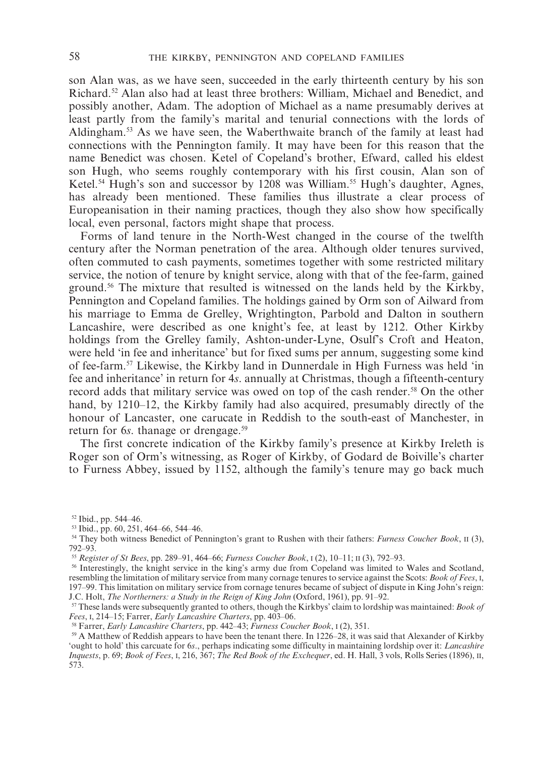son Alan was, as we have seen, succeeded in the early thirteenth century by his son Richard.52 Alan also had at least three brothers: William, Michael and Benedict, and possibly another, Adam. The adoption of Michael as a name presumably derives at least partly from the family's marital and tenurial connections with the lords of Aldingham.53 As we have seen, the Waberthwaite branch of the family at least had connections with the Pennington family. It may have been for this reason that the name Benedict was chosen. Ketel of Copeland's brother, Efward, called his eldest son Hugh, who seems roughly contemporary with his first cousin, Alan son of Ketel.<sup>54</sup> Hugh's son and successor by 1208 was William.<sup>55</sup> Hugh's daughter, Agnes, has already been mentioned. These families thus illustrate a clear process of Europeanisation in their naming practices, though they also show how specifically local, even personal, factors might shape that process.

Forms of land tenure in the North-West changed in the course of the twelfth century after the Norman penetration of the area. Although older tenures survived, often commuted to cash payments, sometimes together with some restricted military service, the notion of tenure by knight service, along with that of the fee-farm, gained ground.56 The mixture that resulted is witnessed on the lands held by the Kirkby, Pennington and Copeland families. The holdings gained by Orm son of Ailward from his marriage to Emma de Grelley, Wrightington, Parbold and Dalton in southern Lancashire, were described as one knight's fee, at least by 1212. Other Kirkby holdings from the Grelley family, Ashton-under-Lyne, Osulf's Croft and Heaton, were held 'in fee and inheritance' but for fixed sums per annum, suggesting some kind of fee-farm.57 Likewise, the Kirkby land in Dunnerdale in High Furness was held 'in fee and inheritance' in return for 4*s*. annually at Christmas, though a fifteenth-century record adds that military service was owed on top of the cash render.58 On the other hand, by 1210–12, the Kirkby family had also acquired, presumably directly of the honour of Lancaster, one carucate in Reddish to the south-east of Manchester, in return for 6*s*. thanage or drengage.<sup>59</sup>

The first concrete indication of the Kirkby family's presence at Kirkby Ireleth is Roger son of Orm's witnessing, as Roger of Kirkby, of Godard de Boiville's charter to Furness Abbey, issued by 1152, although the family's tenure may go back much

58 Farrer, *Early Lancashire Charters*, pp. 442–43; *Furness Coucher Book*, I (2), 351.

<sup>52</sup> Ibid., pp. 544–46.

<sup>53</sup> Ibid., pp. 60, 251, 464–66, 544–46.

<sup>&</sup>lt;sup>54</sup> They both witness Benedict of Pennington's grant to Rushen with their fathers: *Furness Coucher Book*, II (3), 792–93.

<sup>55</sup> *Register of St Bees*, pp. 289–91, 464–66; *Furness Coucher Book*, I (2), 10–11; II (3), 792–93.

<sup>56</sup> Interestingly, the knight service in the king's army due from Copeland was limited to Wales and Scotland, resembling the limitation of military service from many cornage tenures to service against the Scots: *Book of Fees*, I, 197–99. This limitation on military service from cornage tenures became of subject of dispute in King John's reign: J.C. Holt, *The Northerners: a Study in the Reign of King John* (Oxford, 1961), pp. 91–92.

<sup>57</sup> These lands were subsequently granted to others, though the Kirkbys' claim to lordship was maintained: *Book of Fees*, I, 214–15; Farrer, *Early Lancashire Charters*, pp. 403–06.

<sup>59</sup> A Matthew of Reddish appears to have been the tenant there. In 1226–28, it was said that Alexander of Kirkby 'ought to hold' this carcuate for 6*s*., perhaps indicating some difficulty in maintaining lordship over it: *Lancashire Inquests*, p. 69; *Book of Fees*, I, 216, 367; *The Red Book of the Exchequer*, ed. H. Hall, 3 vols, Rolls Series (1896), II, 573.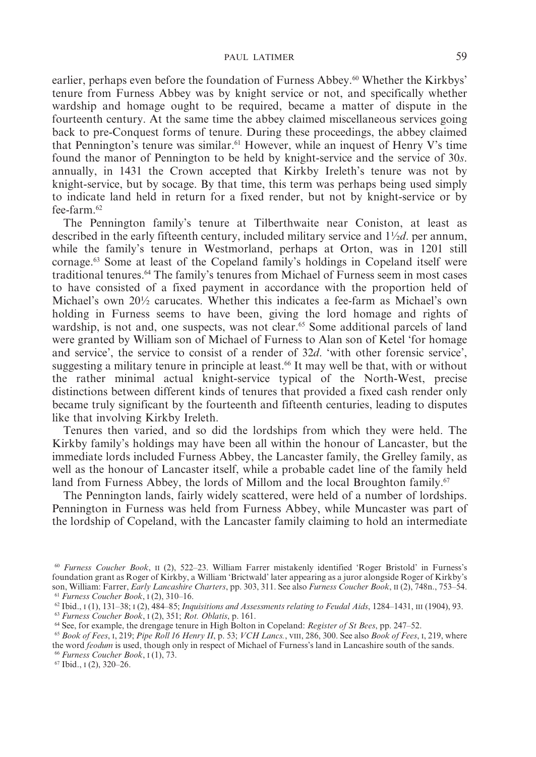earlier, perhaps even before the foundation of Furness Abbey.<sup>60</sup> Whether the Kirkbys' tenure from Furness Abbey was by knight service or not, and specifically whether wardship and homage ought to be required, became a matter of dispute in the fourteenth century. At the same time the abbey claimed miscellaneous services going back to pre-Conquest forms of tenure. During these proceedings, the abbey claimed that Pennington's tenure was similar.<sup>61</sup> However, while an inquest of Henry V's time found the manor of Pennington to be held by knight-service and the service of 30*s*. annually, in 1431 the Crown accepted that Kirkby Ireleth's tenure was not by knight-service, but by socage. By that time, this term was perhaps being used simply to indicate land held in return for a fixed render, but not by knight-service or by fee-farm.62

The Pennington family's tenure at Tilberthwaite near Coniston, at least as described in the early fifteenth century, included military service and 1½*d*. per annum, while the family's tenure in Westmorland, perhaps at Orton, was in 1201 still cornage.63 Some at least of the Copeland family's holdings in Copeland itself were traditional tenures.64 The family's tenures from Michael of Furness seem in most cases to have consisted of a fixed payment in accordance with the proportion held of Michael's own 20½ carucates. Whether this indicates a fee-farm as Michael's own holding in Furness seems to have been, giving the lord homage and rights of wardship, is not and, one suspects, was not clear.<sup>65</sup> Some additional parcels of land were granted by William son of Michael of Furness to Alan son of Ketel 'for homage and service', the service to consist of a render of 32*d*. 'with other forensic service', suggesting a military tenure in principle at least.<sup>66</sup> It may well be that, with or without the rather minimal actual knight-service typical of the North-West, precise distinctions between different kinds of tenures that provided a fixed cash render only became truly significant by the fourteenth and fifteenth centuries, leading to disputes like that involving Kirkby Ireleth.

Tenures then varied, and so did the lordships from which they were held. The Kirkby family's holdings may have been all within the honour of Lancaster, but the immediate lords included Furness Abbey, the Lancaster family, the Grelley family, as well as the honour of Lancaster itself, while a probable cadet line of the family held land from Furness Abbey, the lords of Millom and the local Broughton family.<sup>67</sup>

The Pennington lands, fairly widely scattered, were held of a number of lordships. Pennington in Furness was held from Furness Abbey, while Muncaster was part of the lordship of Copeland, with the Lancaster family claiming to hold an intermediate

<sup>63</sup> *Furness Coucher Book*, I (2), 351; *Rot. Oblatis*, p. 161.

67 Ibid., I (2), 320–26.

<sup>60</sup> *Furness Coucher Book*, II (2), 522–23. William Farrer mistakenly identified 'Roger Bristold' in Furness's foundation grant as Roger of Kirkby, a William 'Brictwald' later appearing as a juror alongside Roger of Kirkby's son, William: Farrer, *Early Lancashire Charters*, pp. 303, 311. See also *Furness Coucher Book*, II (2), 748n., 753-54. <sup>61</sup> *Furness Coucher Book*, I (2), 310–16.

<sup>62</sup> Ibid., I (1), 131–38; I (2), 484–85; *Inquisitions and Assessments relating to Feudal Aids*, 1284–1431, III (1904), 93.

<sup>64</sup> See, for example, the drengage tenure in High Bolton in Copeland: *Register of St Bees*, pp. 247–52.

<sup>65</sup> *Book of Fees*, I, 219; *Pipe Roll 16 Henry II*, p. 53; *VCH Lancs.*, VIII, 286, 300. See also *Book of Fees*, I, 219, where the word *feodum* is used, though only in respect of Michael of Furness's land in Lancashire south of the sands. <sup>66</sup> *Furness Coucher Book*, I (1), 73.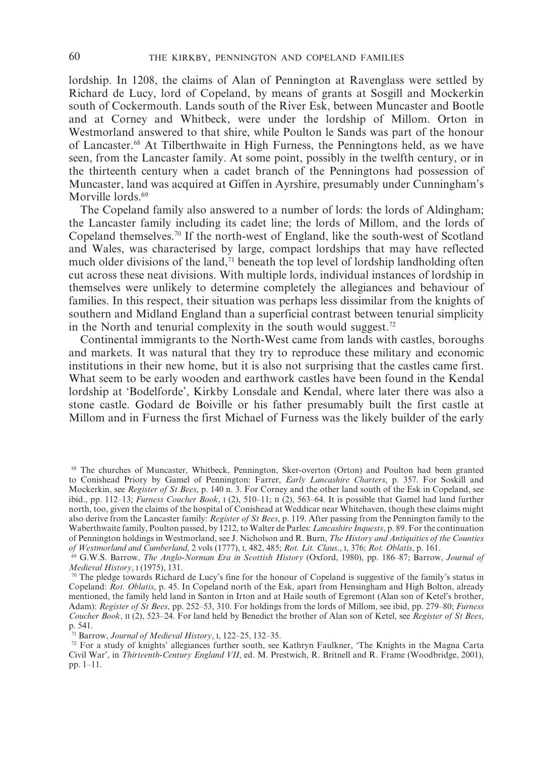lordship. In 1208, the claims of Alan of Pennington at Ravenglass were settled by Richard de Lucy, lord of Copeland, by means of grants at Sosgill and Mockerkin south of Cockermouth. Lands south of the River Esk, between Muncaster and Bootle and at Corney and Whitbeck, were under the lordship of Millom. Orton in Westmorland answered to that shire, while Poulton le Sands was part of the honour of Lancaster.68 At Tilberthwaite in High Furness, the Penningtons held, as we have seen, from the Lancaster family. At some point, possibly in the twelfth century, or in the thirteenth century when a cadet branch of the Penningtons had possession of Muncaster, land was acquired at Giffen in Ayrshire, presumably under Cunningham's Morville lords.<sup>69</sup>

The Copeland family also answered to a number of lords: the lords of Aldingham; the Lancaster family including its cadet line; the lords of Millom, and the lords of Copeland themselves.70 If the north-west of England, like the south-west of Scotland and Wales, was characterised by large, compact lordships that may have reflected much older divisions of the land, $71$  beneath the top level of lordship landholding often cut across these neat divisions. With multiple lords, individual instances of lordship in themselves were unlikely to determine completely the allegiances and behaviour of families. In this respect, their situation was perhaps less dissimilar from the knights of southern and Midland England than a superficial contrast between tenurial simplicity in the North and tenurial complexity in the south would suggest.<sup>72</sup>

Continental immigrants to the North-West came from lands with castles, boroughs and markets. It was natural that they try to reproduce these military and economic institutions in their new home, but it is also not surprising that the castles came first. What seem to be early wooden and earthwork castles have been found in the Kendal lordship at 'Bodelforde', Kirkby Lonsdale and Kendal, where later there was also a stone castle. Godard de Boiville or his father presumably built the first castle at Millom and in Furness the first Michael of Furness was the likely builder of the early

<sup>68</sup> The churches of Muncaster, Whitbeck, Pennington, Sker-overton (Orton) and Poulton had been granted to Conishead Priory by Gamel of Pennington: Farrer, *Early Lancashire Charters*, p. 357. For Soskill and Mockerkin, see *Register of St Bees*, p. 140 n. 3. For Corney and the other land south of the Esk in Copeland, see ibid., pp. 112–13; *Furness Coucher Book*, I (2), 510–11; II (2), 563–64. It is possible that Gamel had land further north, too, given the claims of the hospital of Conishead at Weddicar near Whitehaven, though these claims might also derive from the Lancaster family: *Register of St Bees*, p. 119. After passing from the Pennington family to the Waberthwaite family, Poulton passed, by 1212, to Walter de Parles: *Lancashire Inquests*, p. 89. For the continuation of Pennington holdings in Westmorland, see J. Nicholson and R. Burn, *The History and Antiquities of the Counties of Westmorland and Cumberland*, 2 vols (1777), I, 482, 485; *Rot. Lit. Claus*., I, 376; *Rot. Oblatis*, p. 161.

<sup>69</sup> G.W.S. Barrow, *The Anglo-Norman Era in Scottish History* (Oxford, 1980), pp. 186–87; Barrow, *Journal of Medieval History*, I (1975), 131.

 $70$  The pledge towards Richard de Lucy's fine for the honour of Copeland is suggestive of the family's status in Copeland: *Rot. Oblatis*, p. 45. In Copeland north of the Esk, apart from Hensingham and High Bolton, already mentioned, the family held land in Santon in Irton and at Haile south of Egremont (Alan son of Ketel's brother, Adam): *Register of St Bees*, pp. 252–53, 310. For holdings from the lords of Millom, see ibid, pp. 279–80; *Furness Coucher Book*, II (2), 523–24. For land held by Benedict the brother of Alan son of Ketel, see *Register of St Bees*, p. 541.

<sup>71</sup> Barrow, *Journal of Medieval History*, I, 122–25, 132–35.

<sup>72</sup> For a study of knights' allegiances further south, see Kathryn Faulkner, 'The Knights in the Magna Carta Civil War', in *Thirteenth-Century England VII*, ed. M. Prestwich, R. Britnell and R. Frame (Woodbridge, 2001), pp. 1–11.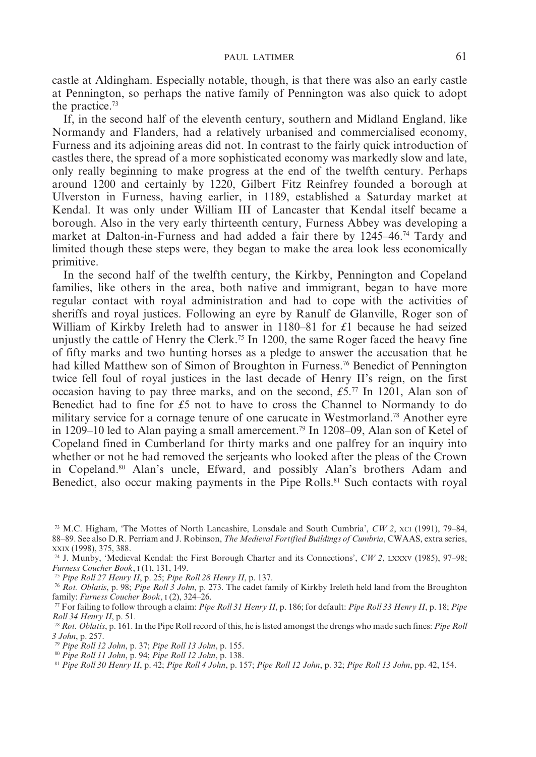castle at Aldingham. Especially notable, though, is that there was also an early castle at Pennington, so perhaps the native family of Pennington was also quick to adopt the practice.73

If, in the second half of the eleventh century, southern and Midland England, like Normandy and Flanders, had a relatively urbanised and commercialised economy, Furness and its adjoining areas did not. In contrast to the fairly quick introduction of castles there, the spread of a more sophisticated economy was markedly slow and late, only really beginning to make progress at the end of the twelfth century. Perhaps around 1200 and certainly by 1220, Gilbert Fitz Reinfrey founded a borough at Ulverston in Furness, having earlier, in 1189, established a Saturday market at Kendal. It was only under William III of Lancaster that Kendal itself became a borough. Also in the very early thirteenth century, Furness Abbey was developing a market at Dalton-in-Furness and had added a fair there by 1245–46.74 Tardy and limited though these steps were, they began to make the area look less economically primitive.

In the second half of the twelfth century, the Kirkby, Pennington and Copeland families, like others in the area, both native and immigrant, began to have more regular contact with royal administration and had to cope with the activities of sheriffs and royal justices. Following an eyre by Ranulf de Glanville, Roger son of William of Kirkby Ireleth had to answer in 1180–81 for *£*1 because he had seized unjustly the cattle of Henry the Clerk.<sup>75</sup> In 1200, the same Roger faced the heavy fine of fifty marks and two hunting horses as a pledge to answer the accusation that he had killed Matthew son of Simon of Broughton in Furness.76 Benedict of Pennington twice fell foul of royal justices in the last decade of Henry II's reign, on the first occasion having to pay three marks, and on the second, *£*5.77 In 1201, Alan son of Benedict had to fine for *£*5 not to have to cross the Channel to Normandy to do military service for a cornage tenure of one carucate in Westmorland.78 Another eyre in 1209–10 led to Alan paying a small amercement.<sup>79</sup> In 1208–09, Alan son of Ketel of Copeland fined in Cumberland for thirty marks and one palfrey for an inquiry into whether or not he had removed the serjeants who looked after the pleas of the Crown in Copeland.80 Alan's uncle, Efward, and possibly Alan's brothers Adam and Benedict, also occur making payments in the Pipe Rolls.<sup>81</sup> Such contacts with royal

<sup>&</sup>lt;sup>73</sup> M.C. Higham, 'The Mottes of North Lancashire, Lonsdale and South Cumbria', *CW 2*, xc1 (1991), 79–84, 88–89. See also D.R. Perriam and J. Robinson, *The Medieval Fortified Buildings of Cumbria*, CWAAS, extra series, XXIX (1998), 375, 388.

<sup>74</sup> J. Munby, 'Medieval Kendal: the First Borough Charter and its Connections', *CW 2*, LXXXV (1985), 97–98; *Furness Coucher Book*, I (1), 131, 149.

<sup>75</sup> *Pipe Roll 27 Henry II*, p. 25; *Pipe Roll 28 Henry II*, p. 137.

<sup>76</sup> *Rot. Oblatis*, p. 98; *Pipe Roll 3 John*, p. 273. The cadet family of Kirkby Ireleth held land from the Broughton family: *Furness Coucher Book*, I (2), 324–26.

<sup>77</sup> For failing to follow through a claim: *Pipe Roll 31 Henry II*, p. 186; for default: *Pipe Roll 33 Henry II*, p. 18; *Pipe Roll 34 Henry II*, p. 51.

<sup>78</sup> *Rot. Oblatis*, p. 161. In the Pipe Roll record of this, he is listed amongst the drengs who made such fines: *Pipe Roll 3 John*, p. 257.

<sup>79</sup> *Pipe Roll 12 John*, p. 37; *Pipe Roll 13 John*, p. 155.

<sup>80</sup> *Pipe Roll 11 John*, p. 94; *Pipe Roll 12 John*, p. 138.

<sup>81</sup> *Pipe Roll 30 Henry II*, p. 42; *Pipe Roll 4 John*, p. 157; *Pipe Roll 12 John*, p. 32; *Pipe Roll 13 John*, pp. 42, 154.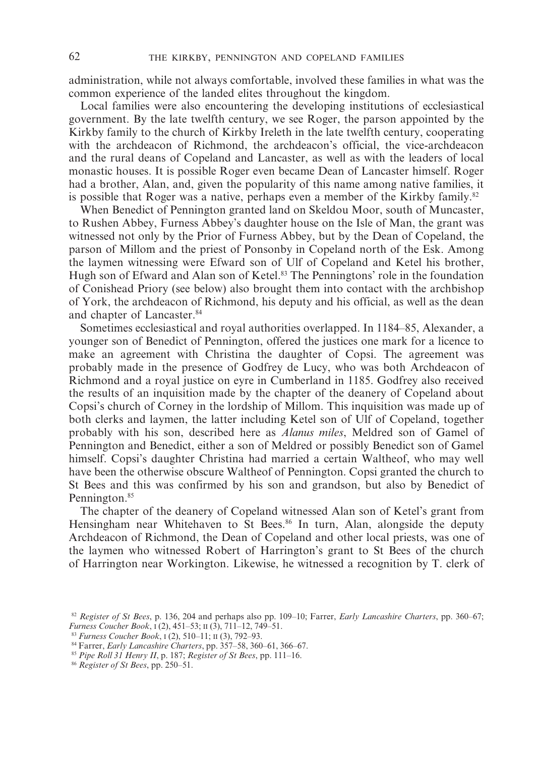administration, while not always comfortable, involved these families in what was the common experience of the landed elites throughout the kingdom.

Local families were also encountering the developing institutions of ecclesiastical government. By the late twelfth century, we see Roger, the parson appointed by the Kirkby family to the church of Kirkby Ireleth in the late twelfth century, cooperating with the archdeacon of Richmond, the archdeacon's official, the vice-archdeacon and the rural deans of Copeland and Lancaster, as well as with the leaders of local monastic houses. It is possible Roger even became Dean of Lancaster himself. Roger had a brother, Alan, and, given the popularity of this name among native families, it is possible that Roger was a native, perhaps even a member of the Kirkby family.<sup>82</sup>

When Benedict of Pennington granted land on Skeldou Moor, south of Muncaster, to Rushen Abbey, Furness Abbey's daughter house on the Isle of Man, the grant was witnessed not only by the Prior of Furness Abbey, but by the Dean of Copeland, the parson of Millom and the priest of Ponsonby in Copeland north of the Esk. Among the laymen witnessing were Efward son of Ulf of Copeland and Ketel his brother, Hugh son of Efward and Alan son of Ketel.83 The Penningtons' role in the foundation of Conishead Priory (see below) also brought them into contact with the archbishop of York, the archdeacon of Richmond, his deputy and his official, as well as the dean and chapter of Lancaster.84

Sometimes ecclesiastical and royal authorities overlapped. In 1184–85, Alexander, a younger son of Benedict of Pennington, offered the justices one mark for a licence to make an agreement with Christina the daughter of Copsi. The agreement was probably made in the presence of Godfrey de Lucy, who was both Archdeacon of Richmond and a royal justice on eyre in Cumberland in 1185. Godfrey also received the results of an inquisition made by the chapter of the deanery of Copeland about Copsi's church of Corney in the lordship of Millom. This inquisition was made up of both clerks and laymen, the latter including Ketel son of Ulf of Copeland, together probably with his son, described here as *Alanus miles*, Meldred son of Gamel of Pennington and Benedict, either a son of Meldred or possibly Benedict son of Gamel himself. Copsi's daughter Christina had married a certain Waltheof, who may well have been the otherwise obscure Waltheof of Pennington. Copsi granted the church to St Bees and this was confirmed by his son and grandson, but also by Benedict of Pennington.<sup>85</sup>

The chapter of the deanery of Copeland witnessed Alan son of Ketel's grant from Hensingham near Whitehaven to St Bees.<sup>86</sup> In turn, Alan, alongside the deputy Archdeacon of Richmond, the Dean of Copeland and other local priests, was one of the laymen who witnessed Robert of Harrington's grant to St Bees of the church of Harrington near Workington. Likewise, he witnessed a recognition by T. clerk of

<sup>82</sup> *Register of St Bees*, p. 136, 204 and perhaps also pp. 109–10; Farrer, *Early Lancashire Charters*, pp. 360–67; *Furness Coucher Book*, I (2), 451–53; II (3), 711–12, 749–51.

<sup>83</sup> *Furness Coucher Book*, I (2), 510–11; II (3), 792–93.

<sup>84</sup> Farrer, *Early Lancashire Charters*, pp. 357–58, 360–61, 366–67.

<sup>85</sup> *Pipe Roll 31 Henry II*, p. 187; *Register of St Bees*, pp. 111–16.

<sup>86</sup> *Register of St Bees*, pp. 250–51.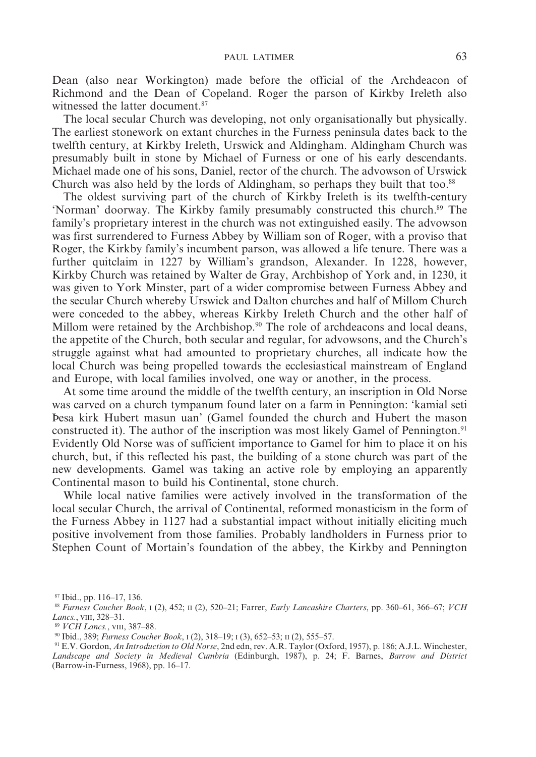Dean (also near Workington) made before the official of the Archdeacon of Richmond and the Dean of Copeland. Roger the parson of Kirkby Ireleth also witnessed the latter document.<sup>87</sup>

The local secular Church was developing, not only organisationally but physically. The earliest stonework on extant churches in the Furness peninsula dates back to the twelfth century, at Kirkby Ireleth, Urswick and Aldingham. Aldingham Church was presumably built in stone by Michael of Furness or one of his early descendants. Michael made one of his sons, Daniel, rector of the church. The advowson of Urswick Church was also held by the lords of Aldingham, so perhaps they built that too.<sup>88</sup>

The oldest surviving part of the church of Kirkby Ireleth is its twelfth-century 'Norman' doorway. The Kirkby family presumably constructed this church.89 The family's proprietary interest in the church was not extinguished easily. The advowson was first surrendered to Furness Abbey by William son of Roger, with a proviso that Roger, the Kirkby family's incumbent parson, was allowed a life tenure. There was a further quitclaim in 1227 by William's grandson, Alexander. In 1228, however, Kirkby Church was retained by Walter de Gray, Archbishop of York and, in 1230, it was given to York Minster, part of a wider compromise between Furness Abbey and the secular Church whereby Urswick and Dalton churches and half of Millom Church were conceded to the abbey, whereas Kirkby Ireleth Church and the other half of Millom were retained by the Archbishop.<sup>90</sup> The role of archdeacons and local deans, the appetite of the Church, both secular and regular, for advowsons, and the Church's struggle against what had amounted to proprietary churches, all indicate how the local Church was being propelled towards the ecclesiastical mainstream of England and Europe, with local families involved, one way or another, in the process.

At some time around the middle of the twelfth century, an inscription in Old Norse was carved on a church tympanum found later on a farm in Pennington: 'kamial seti Þesa kirk Hubert masun uan' (Gamel founded the church and Hubert the mason constructed it). The author of the inscription was most likely Gamel of Pennington.<sup>91</sup> Evidently Old Norse was of sufficient importance to Gamel for him to place it on his church, but, if this reflected his past, the building of a stone church was part of the new developments. Gamel was taking an active role by employing an apparently Continental mason to build his Continental, stone church.

While local native families were actively involved in the transformation of the local secular Church, the arrival of Continental, reformed monasticism in the form of the Furness Abbey in 1127 had a substantial impact without initially eliciting much positive involvement from those families. Probably landholders in Furness prior to Stephen Count of Mortain's foundation of the abbey, the Kirkby and Pennington

<sup>87</sup> Ibid., pp. 116–17, 136.

<sup>88</sup> *Furness Coucher Book*, I (2), 452; II (2), 520–21; Farrer, *Early Lancashire Charters*, pp. 360–61, 366–67; *VCH Lancs.*, VIII, 328–31.

<sup>89</sup> *VCH Lancs.*, VIII, 387–88.

<sup>90</sup> Ibid., 389; *Furness Coucher Book*, I (2), 318–19; I (3), 652–53; II (2), 555–57.

<sup>91</sup> E.V. Gordon, *An Introduction to Old Norse*, 2nd edn, rev. A.R. Taylor (Oxford, 1957), p. 186; A.J.L. Winchester, *Landscape and Society in Medieval Cumbria* (Edinburgh, 1987), p. 24; F. Barnes, *Barrow and District* (Barrow-in-Furness, 1968), pp. 16–17.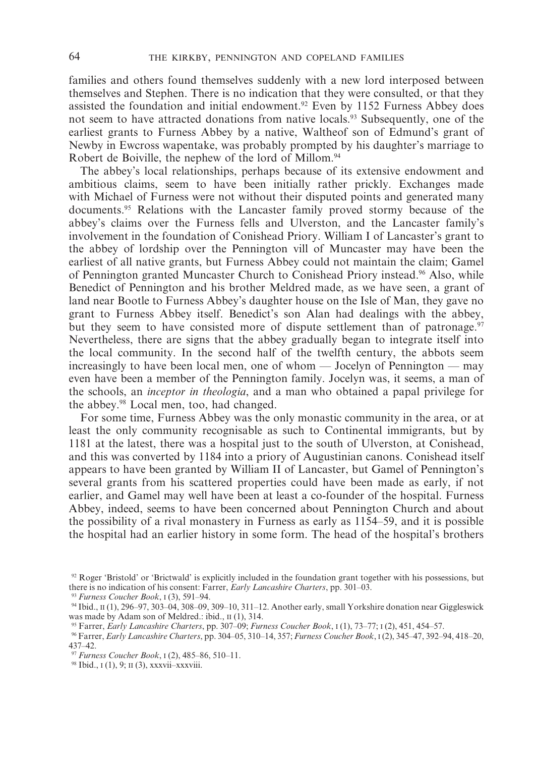families and others found themselves suddenly with a new lord interposed between themselves and Stephen. There is no indication that they were consulted, or that they assisted the foundation and initial endowment.<sup>92</sup> Even by 1152 Furness Abbey does not seem to have attracted donations from native locals.93 Subsequently, one of the earliest grants to Furness Abbey by a native, Waltheof son of Edmund's grant of Newby in Ewcross wapentake, was probably prompted by his daughter's marriage to Robert de Boiville, the nephew of the lord of Millom.<sup>94</sup>

The abbey's local relationships, perhaps because of its extensive endowment and ambitious claims, seem to have been initially rather prickly. Exchanges made with Michael of Furness were not without their disputed points and generated many documents.95 Relations with the Lancaster family proved stormy because of the abbey's claims over the Furness fells and Ulverston, and the Lancaster family's involvement in the foundation of Conishead Priory. William I of Lancaster's grant to the abbey of lordship over the Pennington vill of Muncaster may have been the earliest of all native grants, but Furness Abbey could not maintain the claim; Gamel of Pennington granted Muncaster Church to Conishead Priory instead.96 Also, while Benedict of Pennington and his brother Meldred made, as we have seen, a grant of land near Bootle to Furness Abbey's daughter house on the Isle of Man, they gave no grant to Furness Abbey itself. Benedict's son Alan had dealings with the abbey, but they seem to have consisted more of dispute settlement than of patronage.<sup>97</sup> Nevertheless, there are signs that the abbey gradually began to integrate itself into the local community. In the second half of the twelfth century, the abbots seem increasingly to have been local men, one of whom — Jocelyn of Pennington — may even have been a member of the Pennington family. Jocelyn was, it seems, a man of the schools, an *inceptor in theologia*, and a man who obtained a papal privilege for the abbey.98 Local men, too, had changed.

For some time, Furness Abbey was the only monastic community in the area, or at least the only community recognisable as such to Continental immigrants, but by 1181 at the latest, there was a hospital just to the south of Ulverston, at Conishead, and this was converted by 1184 into a priory of Augustinian canons. Conishead itself appears to have been granted by William II of Lancaster, but Gamel of Pennington's several grants from his scattered properties could have been made as early, if not earlier, and Gamel may well have been at least a co-founder of the hospital. Furness Abbey, indeed, seems to have been concerned about Pennington Church and about the possibility of a rival monastery in Furness as early as 1154–59, and it is possible the hospital had an earlier history in some form. The head of the hospital's brothers

 $92$  Roger 'Bristold' or 'Brictwald' is explicitly included in the foundation grant together with his possessions, but there is no indication of his consent: Farrer, *Early Lancashire Charters*, pp. 301–03.

<sup>93</sup> *Furness Coucher Book*, I (3), 591–94.

<sup>94</sup> Ibid., II (1), 296–97, 303–04, 308–09, 309–10, 311–12. Another early, small Yorkshire donation near Giggleswick was made by Adam son of Meldred.: ibid., II (1), 314.

<sup>95</sup> Farrer, *Early Lancashire Charters*, pp. 307–09; *Furness Coucher Book*, I (1), 73–77; I (2), 451, 454–57.

<sup>96</sup> Farrer, *Early Lancashire Charters*, pp. 304–05, 310–14, 357; *Furness Coucher Book*, I (2), 345–47, 392–94, 418–20, 437–42.

<sup>97</sup> *Furness Coucher Book*, I (2), 485–86, 510–11.

 $98$  Ibid.,  $I(1)$ ,  $9$ ;  $II(3)$ , xxxvii–xxxviii.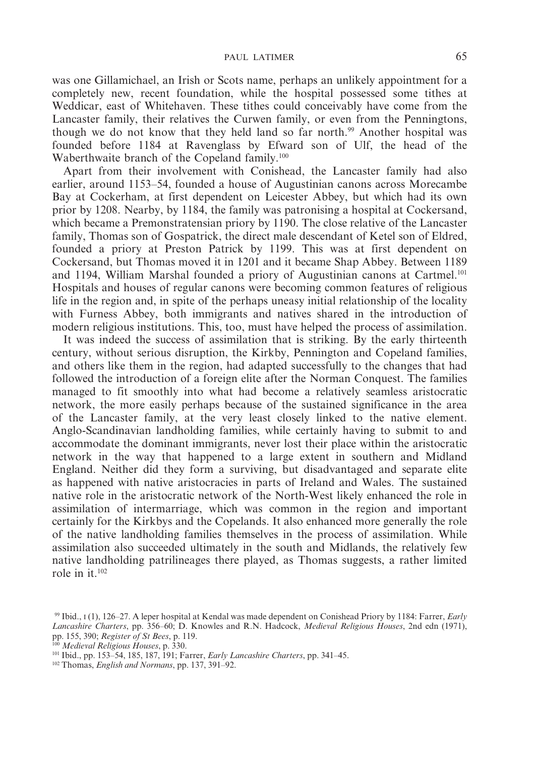was one Gillamichael, an Irish or Scots name, perhaps an unlikely appointment for a completely new, recent foundation, while the hospital possessed some tithes at Weddicar, east of Whitehaven. These tithes could conceivably have come from the Lancaster family, their relatives the Curwen family, or even from the Penningtons, though we do not know that they held land so far north.<sup>99</sup> Another hospital was founded before 1184 at Ravenglass by Efward son of Ulf, the head of the Waberthwaite branch of the Copeland family.<sup>100</sup>

Apart from their involvement with Conishead, the Lancaster family had also earlier, around 1153–54, founded a house of Augustinian canons across Morecambe Bay at Cockerham, at first dependent on Leicester Abbey, but which had its own prior by 1208. Nearby, by 1184, the family was patronising a hospital at Cockersand, which became a Premonstratensian priory by 1190. The close relative of the Lancaster family, Thomas son of Gospatrick, the direct male descendant of Ketel son of Eldred, founded a priory at Preston Patrick by 1199. This was at first dependent on Cockersand, but Thomas moved it in 1201 and it became Shap Abbey. Between 1189 and 1194, William Marshal founded a priory of Augustinian canons at Cartmel.101 Hospitals and houses of regular canons were becoming common features of religious life in the region and, in spite of the perhaps uneasy initial relationship of the locality with Furness Abbey, both immigrants and natives shared in the introduction of modern religious institutions. This, too, must have helped the process of assimilation.

It was indeed the success of assimilation that is striking. By the early thirteenth century, without serious disruption, the Kirkby, Pennington and Copeland families, and others like them in the region, had adapted successfully to the changes that had followed the introduction of a foreign elite after the Norman Conquest. The families managed to fit smoothly into what had become a relatively seamless aristocratic network, the more easily perhaps because of the sustained significance in the area of the Lancaster family, at the very least closely linked to the native element. Anglo-Scandinavian landholding families, while certainly having to submit to and accommodate the dominant immigrants, never lost their place within the aristocratic network in the way that happened to a large extent in southern and Midland England. Neither did they form a surviving, but disadvantaged and separate elite as happened with native aristocracies in parts of Ireland and Wales. The sustained native role in the aristocratic network of the North-West likely enhanced the role in assimilation of intermarriage, which was common in the region and important certainly for the Kirkbys and the Copelands. It also enhanced more generally the role of the native landholding families themselves in the process of assimilation. While assimilation also succeeded ultimately in the south and Midlands, the relatively few native landholding patrilineages there played, as Thomas suggests, a rather limited role in it.102

<sup>99</sup> Ibid., I (1), 126–27. A leper hospital at Kendal was made dependent on Conishead Priory by 1184: Farrer, *Early Lancashire Charters*, pp. 356–60; D. Knowles and R.N. Hadcock, *Medieval Religious Houses*, 2nd edn (1971), pp. 155, 390; *Register of St Bees*, p. 119.

<sup>100</sup> *Medieval Religious Houses*, p. 330.

<sup>101</sup> Ibid., pp. 153–54, 185, 187, 191; Farrer, *Early Lancashire Charters*, pp. 341–45.

<sup>102</sup> Thomas, *English and Normans*, pp. 137, 391–92.